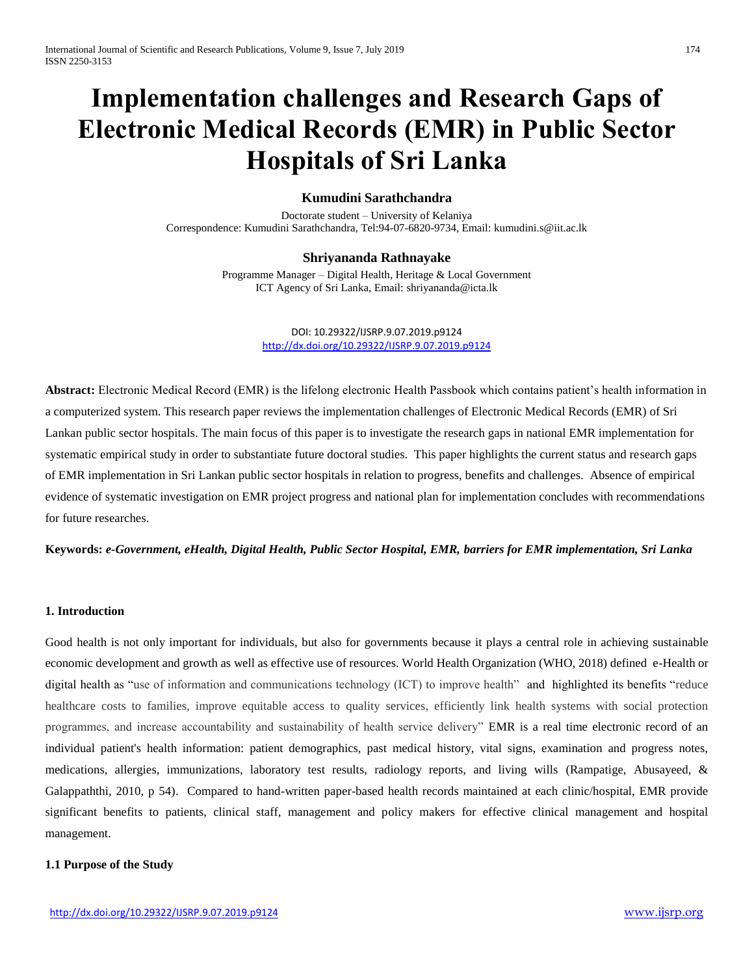# **Implementation challenges and Research Gaps of Electronic Medical Records (EMR) in Public Sector Hospitals of Sri Lanka**

# **Kumudini Sarathchandra**

Doctorate student – University of Kelaniya Correspondence: Kumudini Sarathchandra, [Tel:94-07-6820-9734,](tel:94-07-6820-9734) Email[: kumudini.s@iit.ac.lk](mailto:kumudini.s@iit.ac.lk)

# **Shriyananda Rathnayake**

Programme Manager – Digital Health, Heritage & Local Government ICT Agency of Sri Lanka, Email: shriyananda@icta.lk

> DOI: 10.29322/IJSRP.9.07.2019.p9124 <http://dx.doi.org/10.29322/IJSRP.9.07.2019.p9124>

**Abstract:** Electronic Medical Record (EMR) is the lifelong electronic Health Passbook which contains patient's health information in a computerized system. This research paper reviews the implementation challenges of Electronic Medical Records (EMR) of Sri Lankan public sector hospitals. The main focus of this paper is to investigate the research gaps in national EMR implementation for systematic empirical study in order to substantiate future doctoral studies. This paper highlights the current status and research gaps of EMR implementation in Sri Lankan public sector hospitals in relation to progress, benefits and challenges. Absence of empirical evidence of systematic investigation on EMR project progress and national plan for implementation concludes with recommendations for future researches.

**Keywords:** *e-Government, eHealth, Digital Health, Public Sector Hospital, EMR, barriers for EMR implementation, Sri Lanka*

# **1. Introduction**

Good health is not only important for individuals, but also for governments because it plays a central role in achieving sustainable economic development and growth as well as effective use of resources. World Health Organization (WHO, 2018) defined e-Health or digital health as "use of information and communications technology (ICT) to improve health" and highlighted its benefits "reduce healthcare costs to families, improve equitable access to quality services, efficiently link health systems with social protection programmes, and increase accountability and sustainability of health service delivery" EMR is a real time electronic record of an individual patient's health information: patient demographics, past medical history, vital signs, examination and progress notes, medications, allergies, immunizations, laboratory test results, radiology reports, and living wills (Rampatige, Abusayeed, & Galappaththi, 2010, p 54). Compared to hand-written paper-based health records maintained at each clinic/hospital, EMR provide significant benefits to patients, clinical staff, management and policy makers for effective clinical management and hospital management.

# **1.1 Purpose of the Study**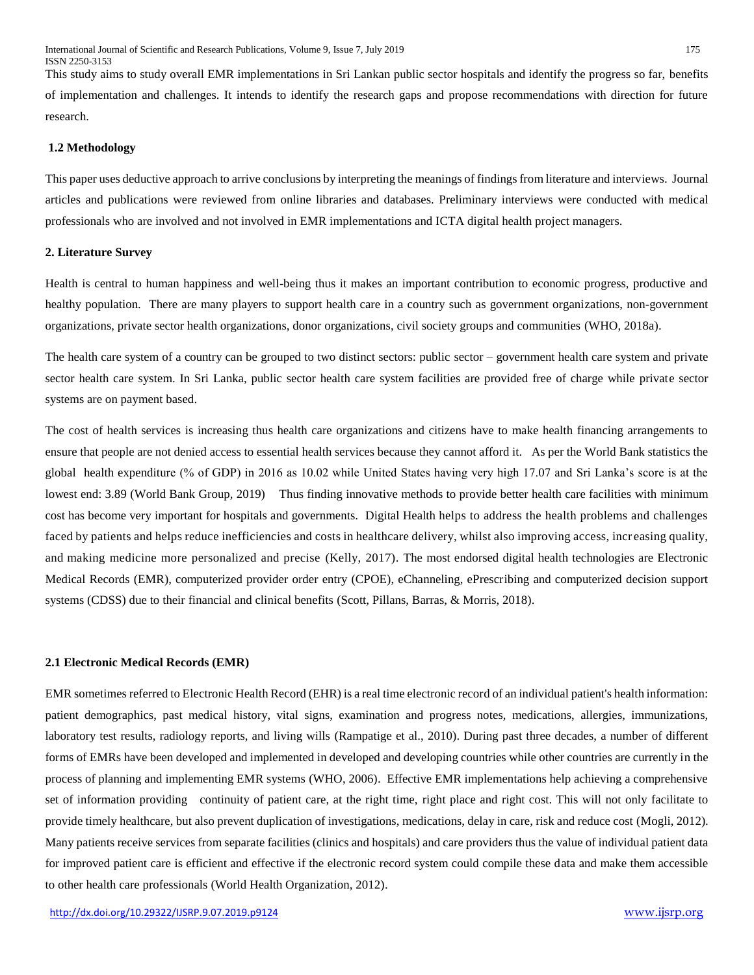This study aims to study overall EMR implementations in Sri Lankan public sector hospitals and identify the progress so far, benefits of implementation and challenges. It intends to identify the research gaps and propose recommendations with direction for future research.

# **1.2 Methodology**

This paper uses deductive approach to arrive conclusions by interpreting the meanings of findings from literature and interviews. Journal articles and publications were reviewed from online libraries and databases. Preliminary interviews were conducted with medical professionals who are involved and not involved in EMR implementations and ICTA digital health project managers.

# **2. Literature Survey**

Health is central to human happiness and well-being thus it makes an important contribution to economic progress, productive and healthy population. There are many players to support health care in a country such as government organizations, non-government organizations, private sector health organizations, donor organizations, civil society groups and communities (WHO, 2018a).

The health care system of a country can be grouped to two distinct sectors: public sector – government health care system and private sector health care system. In Sri Lanka, public sector health care system facilities are provided free of charge while private sector systems are on payment based.

The cost of health services is increasing thus health care organizations and citizens have to make health financing arrangements to ensure that people are not denied access to essential health services because they cannot afford it. As per the World Bank statistics the global health expenditure (% of GDP) in 2016 as 10.02 while United States having very high 17.07 and Sri Lanka's score is at the lowest end: 3.89 (World Bank Group, 2019) Thus finding innovative methods to provide better health care facilities with minimum cost has become very important for hospitals and governments. Digital Health helps to address the health problems and challenges faced by patients and helps reduce inefficiencies and costs in healthcare delivery, whilst also improving access, increasing quality, and making medicine more personalized and precise (Kelly, 2017). The most endorsed digital health technologies are Electronic Medical Records (EMR), computerized provider order entry (CPOE), eChanneling, ePrescribing and computerized decision support systems (CDSS) due to their financial and clinical benefits (Scott, Pillans, Barras, & Morris, 2018).

## **2.1 Electronic Medical Records (EMR)**

EMR sometimes referred to Electronic Health Record (EHR) is a real time electronic record of an individual patient's health information: patient demographics, past medical history, vital signs, examination and progress notes, medications, allergies, immunizations, laboratory test results, radiology reports, and living wills (Rampatige et al., 2010). During past three decades, a number of different forms of EMRs have been developed and implemented in developed and developing countries while other countries are currently in the process of planning and implementing EMR systems (WHO, 2006). Effective EMR implementations help achieving a comprehensive set of information providing continuity of patient care, at the right time, right place and right cost. This will not only facilitate to provide timely healthcare, but also prevent duplication of investigations, medications, delay in care, risk and reduce cost (Mogli, 2012). Many patients receive services from separate facilities (clinics and hospitals) and care providers thus the value of individual patient data for improved patient care is efficient and effective if the electronic record system could compile these data and make them accessible to other health care professionals (World Health Organization, 2012).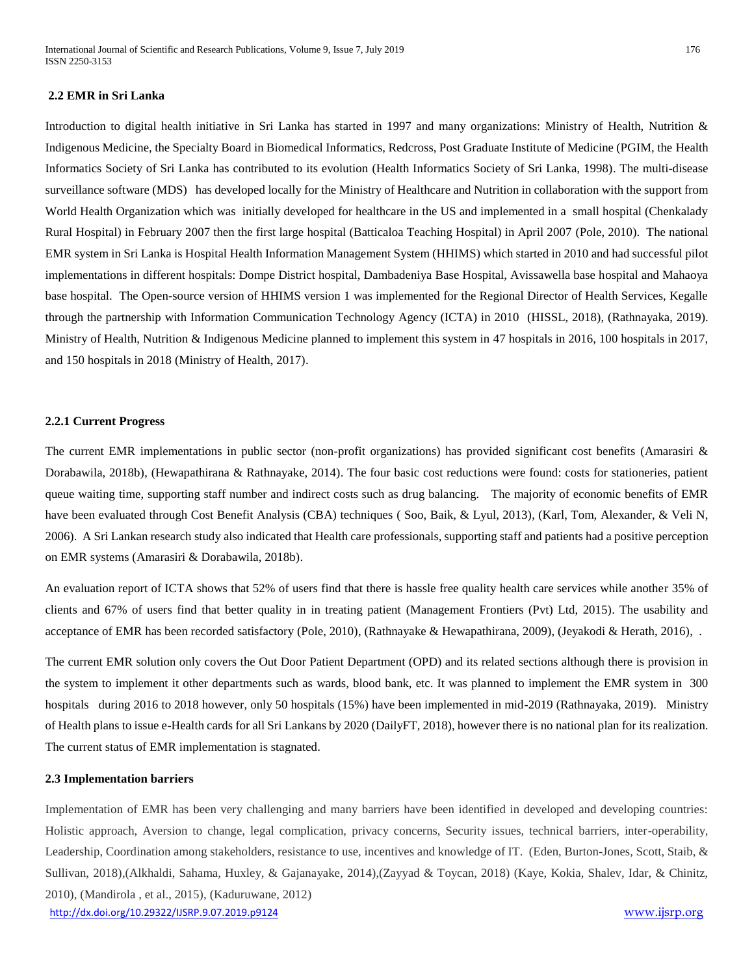# **2.2 EMR in Sri Lanka**

Introduction to digital health initiative in Sri Lanka has started in 1997 and many organizations: Ministry of Health, Nutrition & Indigenous Medicine, the Specialty Board in Biomedical Informatics, Redcross, Post Graduate Institute of Medicine (PGIM, the Health Informatics Society of Sri Lanka has contributed to its evolution (Health Informatics Society of Sri Lanka, 1998). The multi-disease surveillance software (MDS) has developed locally for the Ministry of Healthcare and Nutrition in collaboration with the support from World Health Organization which was initially developed for healthcare in the US and implemented in a small hospital (Chenkalady Rural Hospital) in February 2007 then the first large hospital (Batticaloa Teaching Hospital) in April 2007 (Pole, 2010). The national EMR system in Sri Lanka is Hospital Health Information Management System (HHIMS) which started in 2010 and had successful pilot implementations in different hospitals: Dompe District hospital, Dambadeniya Base Hospital, Avissawella base hospital and Mahaoya base hospital. The Open-source version of HHIMS version 1 was implemented for the Regional Director of Health Services, Kegalle through the partnership with Information Communication Technology Agency (ICTA) in 2010 (HISSL, 2018), (Rathnayaka, 2019). Ministry of Health, Nutrition & Indigenous Medicine planned to implement this system in 47 hospitals in 2016, 100 hospitals in 2017, and 150 hospitals in 2018 (Ministry of Health, 2017).

#### **2.2.1 Current Progress**

The current EMR implementations in public sector (non-profit organizations) has provided significant cost benefits (Amarasiri & Dorabawila, 2018b), (Hewapathirana & Rathnayake, 2014). The four basic cost reductions were found: costs for stationeries, patient queue waiting time, supporting staff number and indirect costs such as drug balancing. The majority of economic benefits of EMR have been evaluated through Cost Benefit Analysis (CBA) techniques ( Soo, Baik, & Lyul, 2013), (Karl, Tom, Alexander, & Veli N, 2006). A Sri Lankan research study also indicated that Health care professionals, supporting staff and patients had a positive perception on EMR systems (Amarasiri & Dorabawila, 2018b).

An evaluation report of ICTA shows that 52% of users find that there is hassle free quality health care services while another 35% of clients and 67% of users find that better quality in in treating patient (Management Frontiers (Pvt) Ltd, 2015). The usability and acceptance of EMR has been recorded satisfactory (Pole, 2010), (Rathnayake & Hewapathirana, 2009), (Jeyakodi & Herath, 2016), .

The current EMR solution only covers the Out Door Patient Department (OPD) and its related sections although there is provision in the system to implement it other departments such as wards, blood bank, etc. It was planned to implement the EMR system in 300 hospitals during 2016 to 2018 however, only 50 hospitals (15%) have been implemented in mid-2019 (Rathnayaka, 2019). Ministry of Health plans to issue e-Health cards for all Sri Lankans by 2020 (DailyFT, 2018), however there is no national plan for its realization. The current status of EMR implementation is stagnated.

# **2.3 Implementation barriers**

<http://dx.doi.org/10.29322/IJSRP.9.07.2019.p9124> [www.ijsrp.org](http://ijsrp.org/) Implementation of EMR has been very challenging and many barriers have been identified in developed and developing countries: Holistic approach, Aversion to change, legal complication, privacy concerns, Security issues, technical barriers, inter-operability, Leadership, Coordination among stakeholders, resistance to use, incentives and knowledge of IT. (Eden, Burton-Jones, Scott, Staib, & Sullivan, 2018),(Alkhaldi, Sahama, Huxley, & Gajanayake, 2014),(Zayyad & Toycan, 2018) (Kaye, Kokia, Shalev, Idar, & Chinitz, 2010), (Mandirola , et al., 2015), (Kaduruwane, 2012)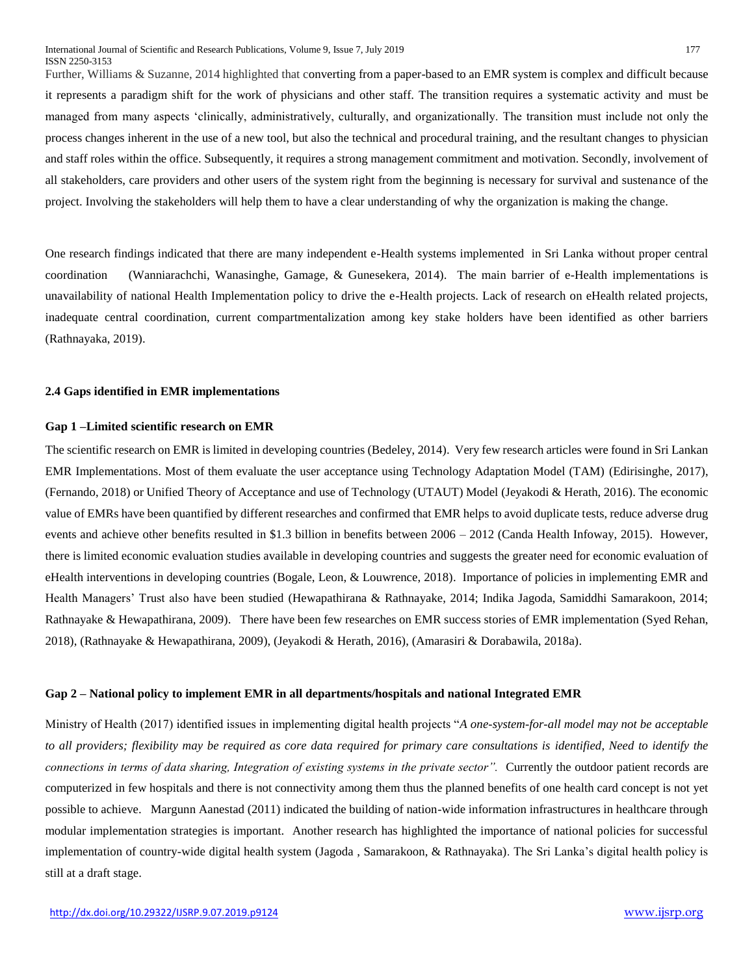Further, Williams & Suzanne, 2014 highlighted that converting from a paper-based to an EMR system is complex and difficult because it represents a paradigm shift for the work of physicians and other staff. The transition requires a systematic activity and must be managed from many aspects 'clinically, administratively, culturally, and organizationally. The transition must include not only the process changes inherent in the use of a new tool, but also the technical and procedural training, and the resultant changes to physician and staff roles within the office. Subsequently, it requires a strong management commitment and motivation. Secondly, involvement of all stakeholders, care providers and other users of the system right from the beginning is necessary for survival and sustenance of the project. Involving the stakeholders will help them to have a clear understanding of why the organization is making the change.

One research findings indicated that there are many independent e-Health systems implemented in Sri Lanka without proper central coordination (Wanniarachchi, Wanasinghe, Gamage, & Gunesekera, 2014). The main barrier of e-Health implementations is unavailability of national Health Implementation policy to drive the e-Health projects. Lack of research on eHealth related projects, inadequate central coordination, current compartmentalization among key stake holders have been identified as other barriers (Rathnayaka, 2019).

# **2.4 Gaps identified in EMR implementations**

# **Gap 1 –Limited scientific research on EMR**

The scientific research on EMR is limited in developing countries (Bedeley, 2014). Very few research articles were found in Sri Lankan EMR Implementations. Most of them evaluate the user acceptance using Technology Adaptation Model (TAM) (Edirisinghe, 2017), (Fernando, 2018) or Unified Theory of Acceptance and use of Technology (UTAUT) Model (Jeyakodi & Herath, 2016). The economic value of EMRs have been quantified by different researches and confirmed that EMR helps to avoid duplicate tests, reduce adverse drug events and achieve other benefits resulted in \$1.3 billion in benefits between 2006 – 2012 (Canda Health Infoway, 2015). However, there is limited economic evaluation studies available in developing countries and suggests the greater need for economic evaluation of eHealth interventions in developing countries (Bogale, Leon, & Louwrence, 2018). Importance of policies in implementing EMR and Health Managers' Trust also have been studied (Hewapathirana & Rathnayake, 2014; Indika Jagoda, Samiddhi Samarakoon, 2014; Rathnayake & Hewapathirana, 2009). There have been few researches on EMR success stories of EMR implementation (Syed Rehan, 2018), (Rathnayake & Hewapathirana, 2009), (Jeyakodi & Herath, 2016), (Amarasiri & Dorabawila, 2018a).

## **Gap 2 – National policy to implement EMR in all departments/hospitals and national Integrated EMR**

Ministry of Health (2017) identified issues in implementing digital health projects "*A one-system-for-all model may not be acceptable to all providers; flexibility may be required as core data required for primary care consultations is identified, Need to identify the connections in terms of data sharing, Integration of existing systems in the private sector".* Currently the outdoor patient records are computerized in few hospitals and there is not connectivity among them thus the planned benefits of one health card concept is not yet possible to achieve. Margunn Aanestad (2011) indicated the building of nation-wide information infrastructures in healthcare through modular implementation strategies is important. Another research has highlighted the importance of national policies for successful implementation of country-wide digital health system (Jagoda , Samarakoon, & Rathnayaka). The Sri Lanka's digital health policy is still at a draft stage.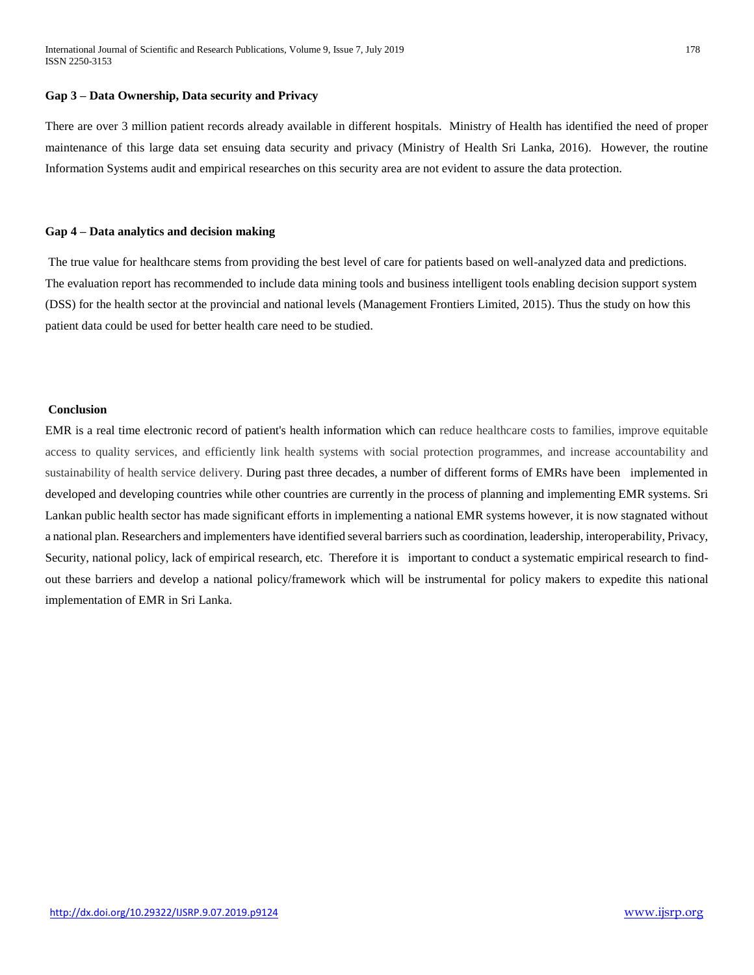# **Gap 3 – Data Ownership, Data security and Privacy**

There are over 3 million patient records already available in different hospitals. Ministry of Health has identified the need of proper maintenance of this large data set ensuing data security and privacy (Ministry of Health Sri Lanka, 2016). However, the routine Information Systems audit and empirical researches on this security area are not evident to assure the data protection.

# **Gap 4 – Data analytics and decision making**

The true value for healthcare stems from providing the best level of care for patients based on well-analyzed data and predictions. The evaluation report has recommended to include data mining tools and business intelligent tools enabling decision support system (DSS) for the health sector at the provincial and national levels (Management Frontiers Limited, 2015). Thus the study on how this patient data could be used for better health care need to be studied.

# **Conclusion**

EMR is a real time electronic record of patient's health information which can reduce healthcare costs to families, improve equitable access to quality services, and efficiently link health systems with social protection programmes, and increase accountability and sustainability of health service delivery. During past three decades, a number of different forms of EMRs have been implemented in developed and developing countries while other countries are currently in the process of planning and implementing EMR systems. Sri Lankan public health sector has made significant efforts in implementing a national EMR systems however, it is now stagnated without a national plan. Researchers and implementers have identified several barriers such as coordination, leadership, interoperability, Privacy, Security, national policy, lack of empirical research, etc. Therefore it is important to conduct a systematic empirical research to findout these barriers and develop a national policy/framework which will be instrumental for policy makers to expedite this national implementation of EMR in Sri Lanka.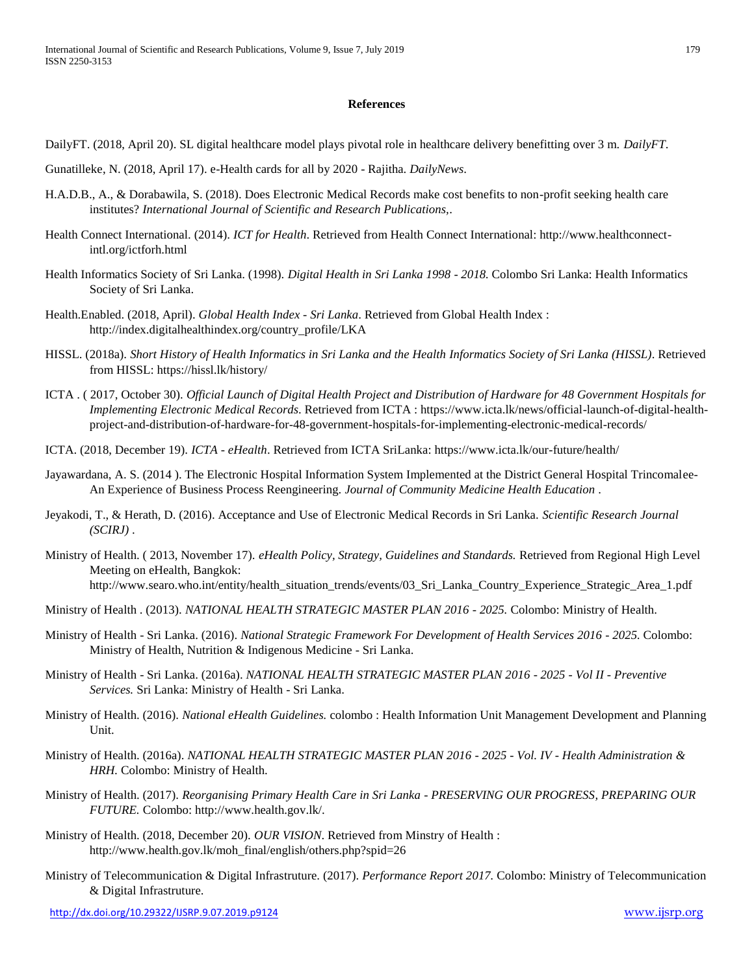# **References**

DailyFT. (2018, April 20). SL digital healthcare model plays pivotal role in healthcare delivery benefitting over 3 m. *DailyFT*.

- Gunatilleke, N. (2018, April 17). e-Health cards for all by 2020 Rajitha. *DailyNews*.
- H.A.D.B., A., & Dorabawila, S. (2018). Does Electronic Medical Records make cost benefits to non-profit seeking health care institutes? *International Journal of Scientific and Research Publications,*.
- Health Connect International. (2014). *ICT for Health*. Retrieved from Health Connect International: http://www.healthconnectintl.org/ictforh.html
- Health Informatics Society of Sri Lanka. (1998). *Digital Health in Sri Lanka 1998 - 2018.* Colombo Sri Lanka: Health Informatics Society of Sri Lanka.
- Health.Enabled. (2018, April). *Global Health Index - Sri Lanka*. Retrieved from Global Health Index : http://index.digitalhealthindex.org/country\_profile/LKA
- HISSL. (2018a). *Short History of Health Informatics in Sri Lanka and the Health Informatics Society of Sri Lanka (HISSL)*. Retrieved from HISSL: https://hissl.lk/history/
- ICTA . ( 2017, October 30). *Official Launch of Digital Health Project and Distribution of Hardware for 48 Government Hospitals for Implementing Electronic Medical Records*. Retrieved from ICTA : https://www.icta.lk/news/official-launch-of-digital-healthproject-and-distribution-of-hardware-for-48-government-hospitals-for-implementing-electronic-medical-records/
- ICTA. (2018, December 19). *ICTA - eHealth*. Retrieved from ICTA SriLanka: https://www.icta.lk/our-future/health/
- Jayawardana, A. S. (2014 ). The Electronic Hospital Information System Implemented at the District General Hospital Trincomalee-An Experience of Business Process Reengineering. *Journal of Community Medicine Health Education* .
- Jeyakodi, T., & Herath, D. (2016). Acceptance and Use of Electronic Medical Records in Sri Lanka. *Scientific Research Journal (SCIRJ)* .
- Ministry of Health. ( 2013, November 17). *eHealth Policy, Strategy, Guidelines and Standards.* Retrieved from Regional High Level Meeting on eHealth, Bangkok: http://www.searo.who.int/entity/health\_situation\_trends/events/03\_Sri\_Lanka\_Country\_Experience\_Strategic\_Area\_1.pdf
- Ministry of Health . (2013). *NATIONAL HEALTH STRATEGIC MASTER PLAN 2016 - 2025.* Colombo: Ministry of Health.
- Ministry of Health Sri Lanka. (2016). *National Strategic Framework For Development of Health Services 2016 - 2025.* Colombo: Ministry of Health, Nutrition & Indigenous Medicine - Sri Lanka.
- Ministry of Health Sri Lanka. (2016a). *NATIONAL HEALTH STRATEGIC MASTER PLAN 2016 - 2025 - Vol II - Preventive Services.* Sri Lanka: Ministry of Health - Sri Lanka.
- Ministry of Health. (2016). *National eHealth Guidelines.* colombo : Health Information Unit Management Development and Planning Unit.
- Ministry of Health. (2016a). *NATIONAL HEALTH STRATEGIC MASTER PLAN 2016 - 2025 - Vol. IV - Health Administration & HRH.* Colombo: Ministry of Health.
- Ministry of Health. (2017). *Reorganising Primary Health Care in Sri Lanka - PRESERVING OUR PROGRESS, PREPARING OUR FUTURE.* Colombo: http://www.health.gov.lk/.
- Ministry of Health. (2018, December 20). *OUR VISION*. Retrieved from Minstry of Health : http://www.health.gov.lk/moh\_final/english/others.php?spid=26
- Ministry of Telecommunication & Digital Infrastruture. (2017). *Performance Report 2017.* Colombo: Ministry of Telecommunication & Digital Infrastruture.